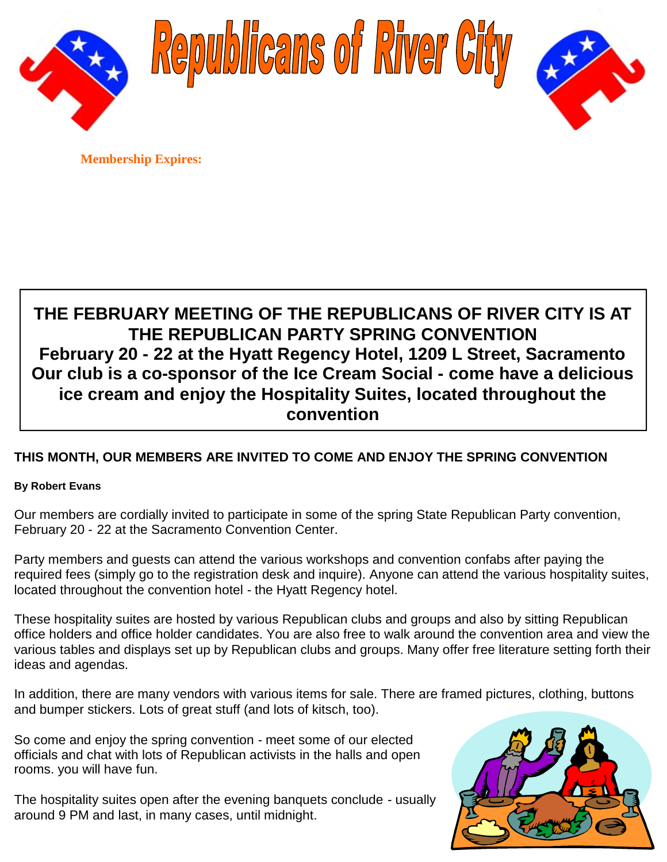





**Membership Expires:**

# **THE FEBRUARY MEETING OF THE REPUBLICANS OF RIVER CITY IS AT THE REPUBLICAN PARTY SPRING CONVENTION February 20 - 22 at the Hyatt Regency Hotel, 1209 L Street, Sacramento Our club is a co-sponsor of the Ice Cream Social - come have a delicious ice cream and enjoy the Hospitality Suites, located throughout the convention**

# **THIS MONTH, OUR MEMBERS ARE INVITED TO COME AND ENJOY THE SPRING CONVENTION**

### **By Robert Evans**

Our members are cordially invited to participate in some of the spring State Republican Party convention, February 20 - 22 at the Sacramento Convention Center.

Party members and guests can attend the various workshops and convention confabs after paying the required fees (simply go to the registration desk and inquire). Anyone can attend the various hospitality suites, located throughout the convention hotel - the Hyatt Regency hotel.

These hospitality suites are hosted by various Republican clubs and groups and also by sitting Republican office holders and office holder candidates. You are also free to walk around the convention area and view the various tables and displays set up by Republican clubs and groups. Many offer free literature setting forth their ideas and agendas.

In addition, there are many vendors with various items for sale. There are framed pictures, clothing, buttons and bumper stickers. Lots of great stuff (and lots of kitsch, too).

So come and enjoy the spring convention - meet some of our elected officials and chat with lots of Republican activists in the halls and open rooms. you will have fun.

The hospitality suites open after the evening banquets conclude - usually around 9 PM and last, in many cases, until midnight.

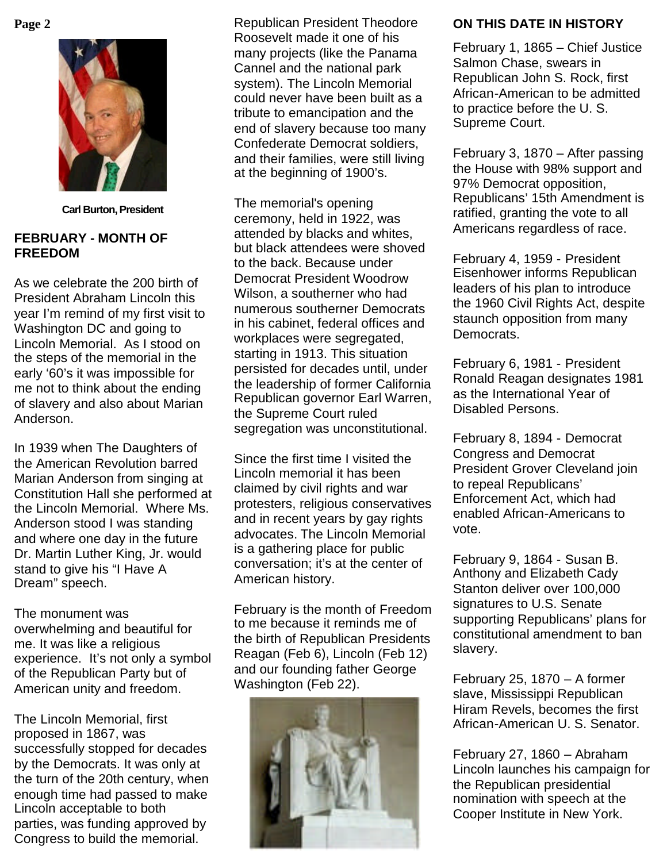

**Carl Burton, President**

## **FEBRUARY - MONTH OF FREEDOM**

As we celebrate the 200 birth of President Abraham Lincoln this year I'm remind of my first visit to Washington DC and going to Lincoln Memorial. As I stood on the steps of the memorial in the early '60's it was impossible for me not to think about the ending of slavery and also about Marian Anderson.

In 1939 when The Daughters of the American Revolution barred Marian Anderson from singing at Constitution Hall she performed at the Lincoln Memorial. Where Ms. Anderson stood I was standing and where one day in the future Dr. Martin Luther King, Jr. would stand to give his "I Have A Dream" speech.

The monument was overwhelming and beautiful for me. It was like a religious experience. It's not only a symbol of the Republican Party but of American unity and freedom.

The Lincoln Memorial, first proposed in 1867, was successfully stopped for decades by the Democrats. It was only at the turn of the 20th century, when enough time had passed to make Lincoln acceptable to both parties, was funding approved by Congress to build the memorial.

**Page 2** Republican President Theodore Roosevelt made it one of his many projects (like the Panama Cannel and the national park system). The Lincoln Memorial could never have been built as a tribute to emancipation and the end of slavery because too many Confederate Democrat soldiers, and their families, were still living at the beginning of 1900's.

> The memorial's opening ceremony, held in 1922, was attended by blacks and whites, but black attendees were shoved to the back. Because under Democrat President Woodrow Wilson, a southerner who had numerous southerner Democrats in his cabinet, federal offices and workplaces were segregated, starting in 1913. This situation persisted for decades until, under the leadership of former California Republican governor Earl Warren, the Supreme Court ruled segregation was unconstitutional.

> Since the first time I visited the Lincoln memorial it has been claimed by civil rights and war protesters, religious conservatives and in recent years by gay rights advocates. The Lincoln Memorial is a gathering place for public conversation; it's at the center of American history.

> February is the month of Freedom to me because it reminds me of the birth of Republican Presidents Reagan (Feb 6), Lincoln (Feb 12) and our founding father George Washington (Feb 22).



# **ON THIS DATE IN HISTORY**

February 1, 1865 – Chief Justice Salmon Chase, swears in Republican John S. Rock, first African-American to be admitted to practice before the U. S. Supreme Court.

February 3, 1870 – After passing the House with 98% support and 97% Democrat opposition, Republicans' 15th Amendment is ratified, granting the vote to all Americans regardless of race.

February 4, 1959 - President Eisenhower informs Republican leaders of his plan to introduce the 1960 Civil Rights Act, despite staunch opposition from many Democrats.

February 6, 1981 - President Ronald Reagan designates 1981 as the International Year of Disabled Persons.

February 8, 1894 - Democrat Congress and Democrat President Grover Cleveland join to repeal Republicans' Enforcement Act, which had enabled African-Americans to vote.

February 9, 1864 - Susan B. Anthony and Elizabeth Cady Stanton deliver over 100,000 signatures to U.S. Senate supporting Republicans' plans for constitutional amendment to ban slavery.

February 25, 1870 – A former slave, Mississippi Republican Hiram Revels, becomes the first African-American U. S. Senator.

February 27, 1860 – Abraham Lincoln launches his campaign for the Republican presidential nomination with speech at the Cooper Institute in New York.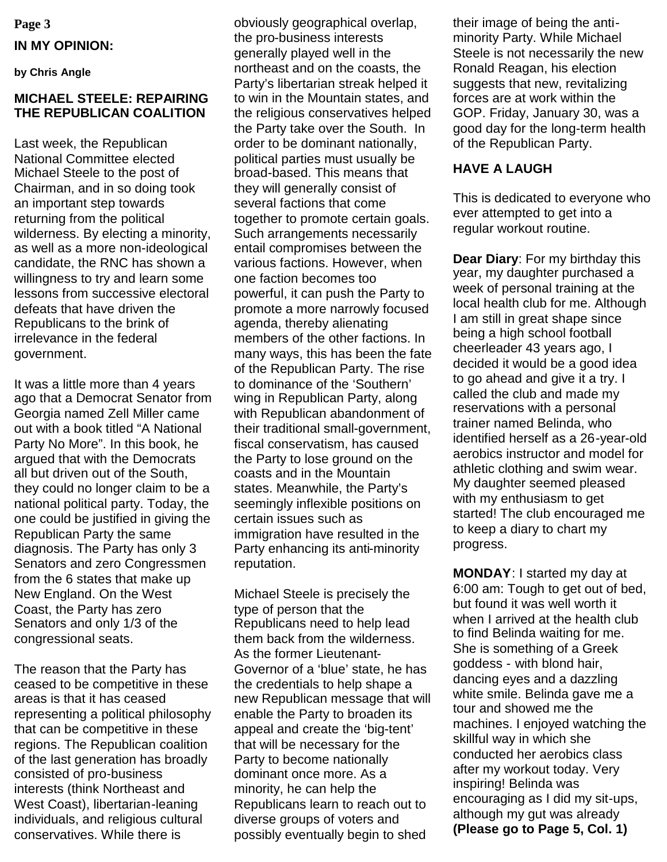# **Page 3 IN MY OPINION:**

**by Chris Angle**

#### **MICHAEL STEELE: REPAIRING THE REPUBLICAN COALITION**

Last week, the Republican National Committee elected Michael Steele to the post of Chairman, and in so doing took an important step towards returning from the political wilderness. By electing a minority, as well as a more non-ideological candidate, the RNC has shown a willingness to try and learn some lessons from successive electoral defeats that have driven the Republicans to the brink of irrelevance in the federal government.

It was a little more than 4 years ago that a Democrat Senator from Georgia named Zell Miller came out with a book titled "A National Party No More". In this book, he argued that with the Democrats all but driven out of the South, they could no longer claim to be a national political party. Today, the one could be justified in giving the Republican Party the same diagnosis. The Party has only 3 Senators and zero Congressmen from the 6 states that make up New England. On the West Coast, the Party has zero Senators and only 1/3 of the congressional seats.

The reason that the Party has ceased to be competitive in these areas is that it has ceased representing a political philosophy that can be competitive in these regions. The Republican coalition of the last generation has broadly consisted of pro-business interests (think Northeast and West Coast), libertarian-leaning individuals, and religious cultural conservatives. While there is

obviously geographical overlap, the pro-business interests generally played well in the northeast and on the coasts, the Party's libertarian streak helped it to win in the Mountain states, and the religious conservatives helped the Party take over the South. In order to be dominant nationally, political parties must usually be broad-based. This means that they will generally consist of several factions that come together to promote certain goals. Such arrangements necessarily entail compromises between the various factions. However, when one faction becomes too powerful, it can push the Party to promote a more narrowly focused agenda, thereby alienating members of the other factions. In many ways, this has been the fate of the Republican Party. The rise to dominance of the 'Southern' wing in Republican Party, along with Republican abandonment of their traditional small-government, fiscal conservatism, has caused the Party to lose ground on the coasts and in the Mountain states. Meanwhile, the Party's seemingly inflexible positions on certain issues such as immigration have resulted in the Party enhancing its anti-minority reputation.

Michael Steele is precisely the type of person that the Republicans need to help lead them back from the wilderness. As the former Lieutenant-Governor of a 'blue' state, he has the credentials to help shape a new Republican message that will enable the Party to broaden its appeal and create the 'big-tent' that will be necessary for the Party to become nationally dominant once more. As a minority, he can help the Republicans learn to reach out to diverse groups of voters and possibly eventually begin to shed

their image of being the antiminority Party. While Michael Steele is not necessarily the new Ronald Reagan, his election suggests that new, revitalizing forces are at work within the GOP. Friday, January 30, was a good day for the long-term health of the Republican Party.

## **HAVE A LAUGH**

This is dedicated to everyone who ever attempted to get into a regular workout routine.

**Dear Diary**: For my birthday this year, my daughter purchased a week of personal training at the local health club for me. Although I am still in great shape since being a high school football cheerleader 43 years ago, I decided it would be a good idea to go ahead and give it a try. I called the club and made my reservations with a personal trainer named Belinda, who identified herself as a 26-year-old aerobics instructor and model for athletic clothing and swim wear. My daughter seemed pleased with my enthusiasm to get started! The club encouraged me to keep a diary to chart my progress.

**MONDAY**: I started my day at 6:00 am: Tough to get out of bed, but found it was well worth it when I arrived at the health club to find Belinda waiting for me. She is something of a Greek goddess - with blond hair, dancing eyes and a dazzling white smile. Belinda gave me a tour and showed me the machines. I enjoyed watching the skillful way in which she conducted her aerobics class after my workout today. Very inspiring! Belinda was encouraging as I did my sit-ups, although my gut was already **(Please go to Page 5, Col. 1)**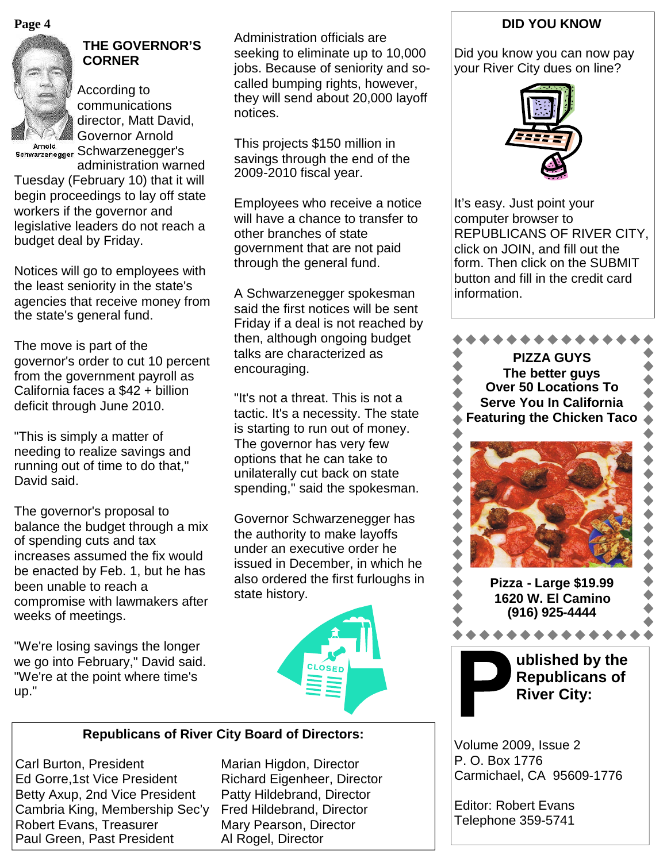**Page 4**



# **THE GOVERNOR'S CORNER**

According to communications director, Matt David, Governor Arnold schwarzenegger Schwarzenegger's administration warned

Tuesday (February 10) that it will begin proceedings to lay off state workers if the governor and legislative leaders do not reach a budget deal by Friday.

Notices will go to employees with the least seniority in the state's agencies that receive money from the state's general fund.

The move is part of the governor's order to cut 10 percent from the government payroll as California faces a \$42 + billion deficit through June 2010.

"This is simply a matter of needing to realize savings and running out of time to do that," David said.

The governor's proposal to balance the budget through a mix of spending cuts and tax increases assumed the fix would be enacted by Feb. 1, but he has been unable to reach a compromise with lawmakers after weeks of meetings.

"We're losing savings the longer we go into February," David said. "We're at the point where time's up."

Administration officials are seeking to eliminate up to 10,000 jobs. Because of seniority and socalled bumping rights, however, they will send about 20,000 layoff notices.

This projects \$150 million in savings through the end of the 2009-2010 fiscal year.

Employees who receive a notice will have a chance to transfer to other branches of state government that are not paid through the general fund.

A Schwarzenegger spokesman said the first notices will be sent Friday if a deal is not reached by then, although ongoing budget talks are characterized as encouraging.

"It's not a threat. This is not a tactic. It's a necessity. The state is starting to run out of money. The governor has very few options that he can take to unilaterally cut back on state spending," said the spokesman.

Governor Schwarzenegger has the authority to make layoffs under an executive order he issued in December, in which he also ordered the first furloughs in state history.



### **Republicans of River City Board of Directors:**

Carl Burton, President Marian Higdon, Director Ed Gorre,1st Vice President Richard Eigenheer, Director Betty Axup, 2nd Vice President Patty Hildebrand, Director Cambria King, Membership Sec'y Fred Hildebrand, Director Robert Evans, Treasurer Mary Pearson, Director Paul Green, Past President Al Rogel, Director

# **DID YOU KNOW**

Did you know you can now pay your River City dues on line?



It's easy. Just point your computer browser to REPUBLICANS OF RIVER CITY, click on JOIN, and fill out the form. Then click on the SUBMIT button and fill in the credit card information.



P. O. Box 1776 Carmichael, CA 95609-1776

Editor: Robert Evans Telephone 359-5741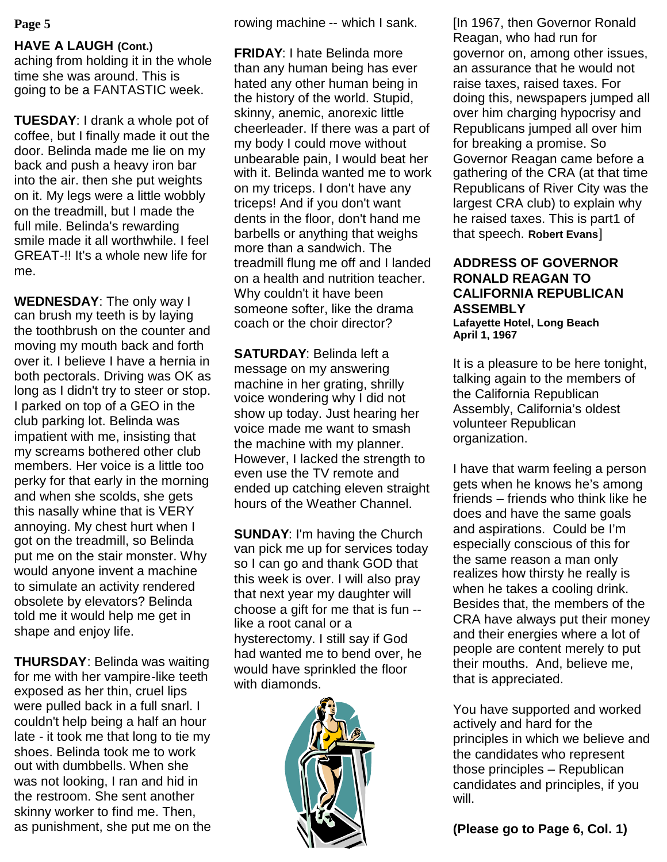# **HAVE A LAUGH (Cont.)**

aching from holding it in the whole time she was around. This is going to be a FANTASTIC week.

**TUESDAY**: I drank a whole pot of coffee, but I finally made it out the door. Belinda made me lie on my back and push a heavy iron bar into the air. then she put weights on it. My legs were a little wobbly on the treadmill, but I made the full mile. Belinda's rewarding smile made it all worthwhile. I feel GREAT-!! It's a whole new life for me.

**WEDNESDAY**: The only way I can brush my teeth is by laying the toothbrush on the counter and moving my mouth back and forth over it. I believe I have a hernia in both pectorals. Driving was OK as long as I didn't try to steer or stop. I parked on top of a GEO in the club parking lot. Belinda was impatient with me, insisting that my screams bothered other club members. Her voice is a little too perky for that early in the morning and when she scolds, she gets this nasally whine that is VERY annoying. My chest hurt when I got on the treadmill, so Belinda put me on the stair monster. Why would anyone invent a machine to simulate an activity rendered obsolete by elevators? Belinda told me it would help me get in shape and enjoy life.

**THURSDAY**: Belinda was waiting for me with her vampire-like teeth exposed as her thin, cruel lips were pulled back in a full snarl. I couldn't help being a half an hour late - it took me that long to tie my shoes. Belinda took me to work out with dumbbells. When she was not looking, I ran and hid in the restroom. She sent another skinny worker to find me. Then, as punishment, she put me on the

**Page 5** rowing machine -- which I sank.

**FRIDAY**: I hate Belinda more than any human being has ever hated any other human being in the history of the world. Stupid, skinny, anemic, anorexic little cheerleader. If there was a part of my body I could move without unbearable pain, I would beat her with it. Belinda wanted me to work on my triceps. I don't have any triceps! And if you don't want dents in the floor, don't hand me barbells or anything that weighs more than a sandwich. The treadmill flung me off and I landed on a health and nutrition teacher. Why couldn't it have been someone softer, like the drama coach or the choir director?

**SATURDAY**: Belinda left a message on my answering machine in her grating, shrilly voice wondering why I did not show up today. Just hearing her voice made me want to smash the machine with my planner. However, I lacked the strength to even use the TV remote and ended up catching eleven straight hours of the Weather Channel.

**SUNDAY**: I'm having the Church van pick me up for services today so I can go and thank GOD that this week is over. I will also pray that next year my daughter will choose a gift for me that is fun - like a root canal or a hysterectomy. I still say if God had wanted me to bend over, he would have sprinkled the floor with diamonds.



[In 1967, then Governor Ronald Reagan, who had run for governor on, among other issues, an assurance that he would not raise taxes, raised taxes. For doing this, newspapers jumped all over him charging hypocrisy and Republicans jumped all over him for breaking a promise. So Governor Reagan came before a gathering of the CRA (at that time Republicans of River City was the largest CRA club) to explain why he raised taxes. This is part1 of that speech. **Robert Evans**]

# **ADDRESS OF GOVERNOR RONALD REAGAN TO CALIFORNIA REPUBLICAN ASSEMBLY**

**Lafayette Hotel, Long Beach April 1, 1967**

It is a pleasure to be here tonight, talking again to the members of the California Republican Assembly, California's oldest volunteer Republican organization.

I have that warm feeling a person gets when he knows he's among friends – friends who think like he does and have the same goals and aspirations. Could be I'm especially conscious of this for the same reason a man only realizes how thirsty he really is when he takes a cooling drink. Besides that, the members of the CRA have always put their money and their energies where a lot of people are content merely to put their mouths. And, believe me, that is appreciated.

You have supported and worked actively and hard for the principles in which we believe and the candidates who represent those principles – Republican candidates and principles, if you will.